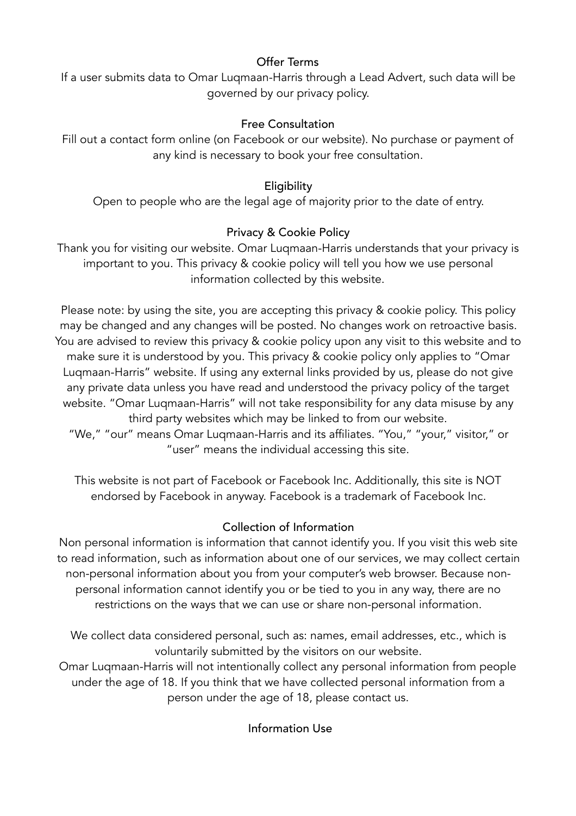# Offer Terms

If a user submits data to Omar Luqmaan-Harris through a Lead Advert, such data will be governed by our privacy policy.

# Free Consultation

Fill out a contact form online (on Facebook or our website). No purchase or payment of any kind is necessary to book your free consultation.

# Eligibility

Open to people who are the legal age of majority prior to the date of entry.

## Privacy & Cookie Policy

Thank you for visiting our website. Omar Luqmaan-Harris understands that your privacy is important to you. This privacy & cookie policy will tell you how we use personal information collected by this website.

Please note: by using the site, you are accepting this privacy & cookie policy. This policy may be changed and any changes will be posted. No changes work on retroactive basis. You are advised to review this privacy & cookie policy upon any visit to this website and to make sure it is understood by you. This privacy & cookie policy only applies to "Omar Luqmaan-Harris" website. If using any external links provided by us, please do not give any private data unless you have read and understood the privacy policy of the target website. "Omar Luqmaan-Harris" will not take responsibility for any data misuse by any third party websites which may be linked to from our website.

"We," "our" means Omar Luqmaan-Harris and its affiliates. "You," "your," visitor," or "user" means the individual accessing this site.

This website is not part of Facebook or Facebook Inc. Additionally, this site is NOT endorsed by Facebook in anyway. Facebook is a trademark of Facebook Inc.

## Collection of Information

Non personal information is information that cannot identify you. If you visit this web site to read information, such as information about one of our services, we may collect certain non-personal information about you from your computer's web browser. Because nonpersonal information cannot identify you or be tied to you in any way, there are no restrictions on the ways that we can use or share non-personal information.

We collect data considered personal, such as: names, email addresses, etc., which is voluntarily submitted by the visitors on our website.

Omar Luqmaan-Harris will not intentionally collect any personal information from people under the age of 18. If you think that we have collected personal information from a person under the age of 18, please contact us.

Information Use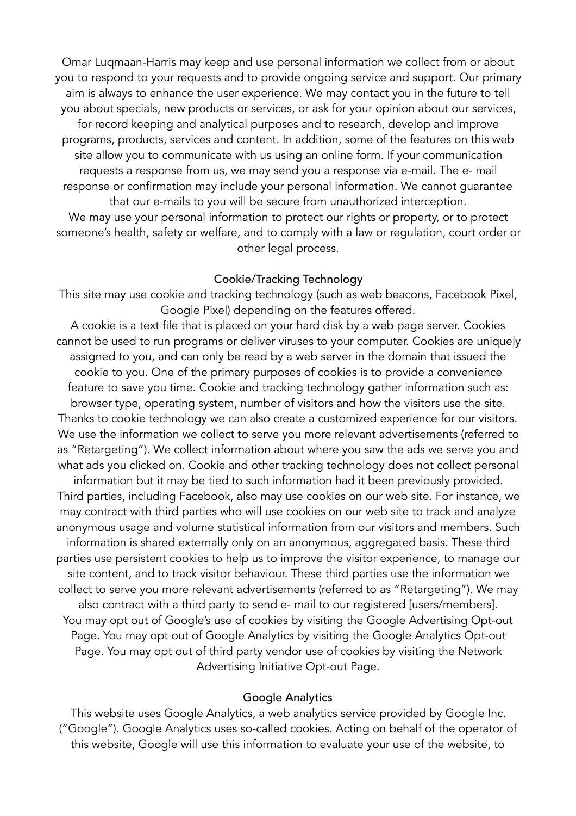Omar Luqmaan-Harris may keep and use personal information we collect from or about you to respond to your requests and to provide ongoing service and support. Our primary aim is always to enhance the user experience. We may contact you in the future to tell you about specials, new products or services, or ask for your opinion about our services, for record keeping and analytical purposes and to research, develop and improve programs, products, services and content. In addition, some of the features on this web site allow you to communicate with us using an online form. If your communication requests a response from us, we may send you a response via e-mail. The e- mail response or confirmation may include your personal information. We cannot guarantee that our e-mails to you will be secure from unauthorized interception. We may use your personal information to protect our rights or property, or to protect someone's health, safety or welfare, and to comply with a law or regulation, court order or other legal process.

### Cookie/Tracking Technology

This site may use cookie and tracking technology (such as web beacons, Facebook Pixel, Google Pixel) depending on the features offered.

A cookie is a text file that is placed on your hard disk by a web page server. Cookies cannot be used to run programs or deliver viruses to your computer. Cookies are uniquely assigned to you, and can only be read by a web server in the domain that issued the cookie to you. One of the primary purposes of cookies is to provide a convenience feature to save you time. Cookie and tracking technology gather information such as: browser type, operating system, number of visitors and how the visitors use the site. Thanks to cookie technology we can also create a customized experience for our visitors. We use the information we collect to serve you more relevant advertisements (referred to as "Retargeting"). We collect information about where you saw the ads we serve you and what ads you clicked on. Cookie and other tracking technology does not collect personal information but it may be tied to such information had it been previously provided. Third parties, including Facebook, also may use cookies on our web site. For instance, we may contract with third parties who will use cookies on our web site to track and analyze anonymous usage and volume statistical information from our visitors and members. Such information is shared externally only on an anonymous, aggregated basis. These third parties use persistent cookies to help us to improve the visitor experience, to manage our site content, and to track visitor behaviour. These third parties use the information we collect to serve you more relevant advertisements (referred to as "Retargeting"). We may also contract with a third party to send e- mail to our registered [users/members]. You may opt out of Google's use of cookies by visiting the Google Advertising Opt-out Page. You may opt out of Google Analytics by visiting the Google Analytics Opt-out Page. You may opt out of third party vendor use of cookies by visiting the Network Advertising Initiative Opt-out Page.

#### Google Analytics

This website uses Google Analytics, a web analytics service provided by Google Inc. ("Google"). Google Analytics uses so-called cookies. Acting on behalf of the operator of this website, Google will use this information to evaluate your use of the website, to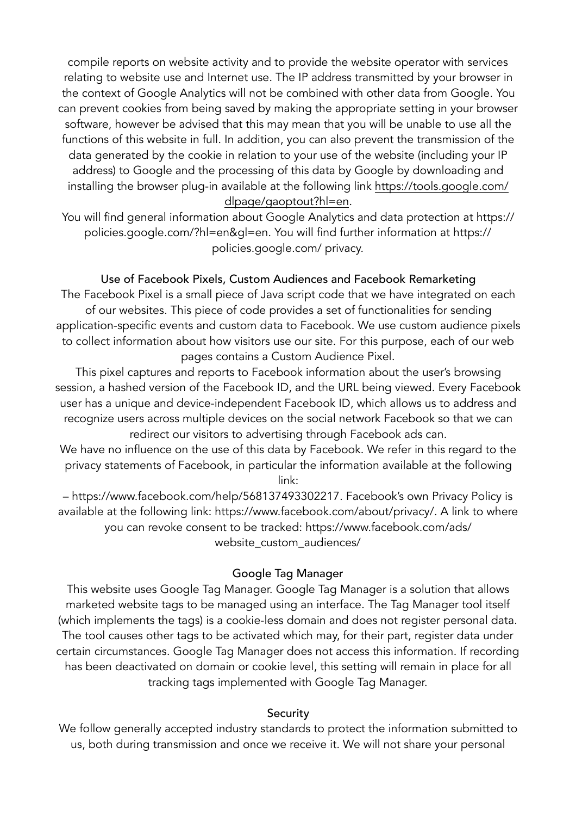compile reports on website activity and to provide the website operator with services relating to website use and Internet use. The IP address transmitted by your browser in the context of Google Analytics will not be combined with other data from Google. You can prevent cookies from being saved by making the appropriate setting in your browser software, however be advised that this may mean that you will be unable to use all the functions of this website in full. In addition, you can also prevent the transmission of the data generated by the cookie in relation to your use of the website (including your IP address) to Google and the processing of this data by Google by downloading and installing the browser plug-in available at the following link [https://tools.google.com/](https://tools.google.com/dlpage/gaoptout?hl=en) [dlpage/gaoptout?hl=en](https://tools.google.com/dlpage/gaoptout?hl=en).

You will find general information about Google Analytics and data protection at https:// policies.google.com/?hl=en&gl=en. You will find further information at https:// policies.google.com/ privacy.

### Use of Facebook Pixels, Custom Audiences and Facebook Remarketing

The Facebook Pixel is a small piece of Java script code that we have integrated on each of our websites. This piece of code provides a set of functionalities for sending application-specific events and custom data to Facebook. We use custom audience pixels to collect information about how visitors use our site. For this purpose, each of our web pages contains a Custom Audience Pixel.

This pixel captures and reports to Facebook information about the user's browsing session, a hashed version of the Facebook ID, and the URL being viewed. Every Facebook user has a unique and device-independent Facebook ID, which allows us to address and recognize users across multiple devices on the social network Facebook so that we can redirect our visitors to advertising through Facebook ads can.

We have no influence on the use of this data by Facebook. We refer in this regard to the privacy statements of Facebook, in particular the information available at the following link:

– https://www.facebook.com/help/568137493302217. Facebook's own Privacy Policy is available at the following link: https://www.facebook.com/about/privacy/. A link to where you can revoke consent to be tracked: https://www.facebook.com/ads/ website\_custom\_audiences/

### Google Tag Manager

This website uses Google Tag Manager. Google Tag Manager is a solution that allows marketed website tags to be managed using an interface. The Tag Manager tool itself (which implements the tags) is a cookie-less domain and does not register personal data. The tool causes other tags to be activated which may, for their part, register data under certain circumstances. Google Tag Manager does not access this information. If recording has been deactivated on domain or cookie level, this setting will remain in place for all tracking tags implemented with Google Tag Manager.

### **Security**

We follow generally accepted industry standards to protect the information submitted to us, both during transmission and once we receive it. We will not share your personal